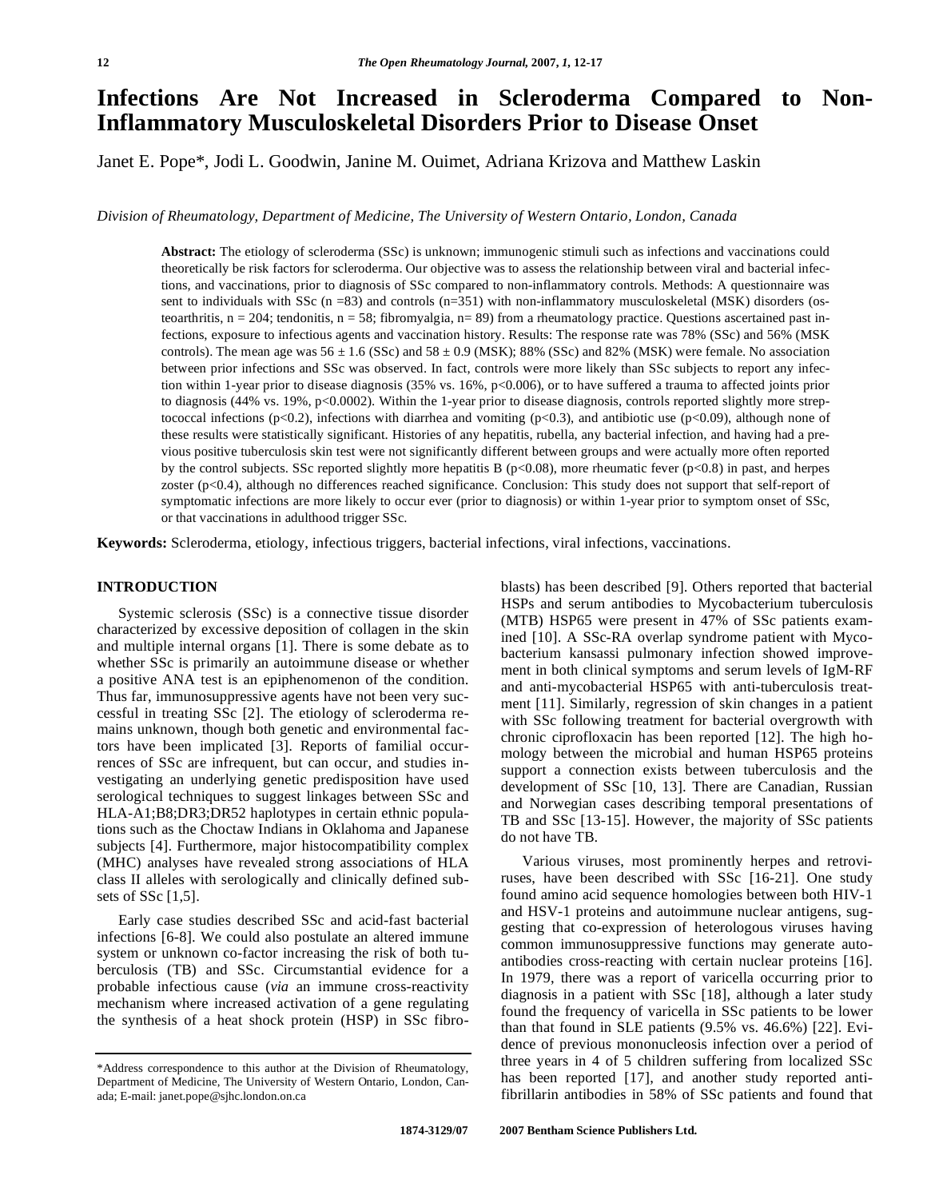# **Infections Are Not Increased in Scleroderma Compared to Non-Inflammatory Musculoskeletal Disorders Prior to Disease Onset**

Janet E. Pope\*, Jodi L. Goodwin, Janine M. Ouimet, Adriana Krizova and Matthew Laskin

*Division of Rheumatology, Department of Medicine, The University of Western Ontario, London, Canada* 

**Abstract:** The etiology of scleroderma (SSc) is unknown; immunogenic stimuli such as infections and vaccinations could theoretically be risk factors for scleroderma. Our objective was to assess the relationship between viral and bacterial infections, and vaccinations, prior to diagnosis of SSc compared to non-inflammatory controls. Methods: A questionnaire was sent to individuals with SSc ( $n = 83$ ) and controls ( $n = 351$ ) with non-inflammatory musculoskeletal (MSK) disorders (osteoarthritis,  $n = 204$ ; tendonitis,  $n = 58$ ; fibromyalgia,  $n = 89$ ) from a rheumatology practice. Questions ascertained past infections, exposure to infectious agents and vaccination history. Results: The response rate was 78% (SSc) and 56% (MSK controls). The mean age was  $56 \pm 1.6$  (SSc) and  $58 \pm 0.9$  (MSK); 88% (SSc) and 82% (MSK) were female. No association between prior infections and SSc was observed. In fact, controls were more likely than SSc subjects to report any infection within 1-year prior to disease diagnosis (35% vs. 16%, p<0.006), or to have suffered a trauma to affected joints prior to diagnosis (44% vs. 19%, p<0.0002). Within the 1-year prior to disease diagnosis, controls reported slightly more streptococcal infections (p<0.2), infections with diarrhea and vomiting (p<0.3), and antibiotic use (p<0.09), although none of these results were statistically significant. Histories of any hepatitis, rubella, any bacterial infection, and having had a previous positive tuberculosis skin test were not significantly different between groups and were actually more often reported by the control subjects. SSc reported slightly more hepatitis B ( $p<0.08$ ), more rheumatic fever ( $p<0.8$ ) in past, and herpes zoster (p<0.4), although no differences reached significance. Conclusion: This study does not support that self-report of symptomatic infections are more likely to occur ever (prior to diagnosis) or within 1-year prior to symptom onset of SSc, or that vaccinations in adulthood trigger SSc.

**Keywords:** Scleroderma, etiology, infectious triggers, bacterial infections, viral infections, vaccinations.

### **INTRODUCTION**

 Systemic sclerosis (SSc) is a connective tissue disorder characterized by excessive deposition of collagen in the skin and multiple internal organs [1]. There is some debate as to whether SSc is primarily an autoimmune disease or whether a positive ANA test is an epiphenomenon of the condition. Thus far, immunosuppressive agents have not been very successful in treating SSc [2]. The etiology of scleroderma remains unknown, though both genetic and environmental factors have been implicated [3]. Reports of familial occurrences of SSc are infrequent, but can occur, and studies investigating an underlying genetic predisposition have used serological techniques to suggest linkages between SSc and HLA-A1;B8;DR3;DR52 haplotypes in certain ethnic populations such as the Choctaw Indians in Oklahoma and Japanese subjects [4]. Furthermore, major histocompatibility complex (MHC) analyses have revealed strong associations of HLA class II alleles with serologically and clinically defined subsets of SSc [1,5].

 Early case studies described SSc and acid-fast bacterial infections [6-8]. We could also postulate an altered immune system or unknown co-factor increasing the risk of both tuberculosis (TB) and SSc. Circumstantial evidence for a probable infectious cause (*via* an immune cross-reactivity mechanism where increased activation of a gene regulating the synthesis of a heat shock protein (HSP) in SSc fibroblasts) has been described [9]. Others reported that bacterial HSPs and serum antibodies to Mycobacterium tuberculosis (MTB) HSP65 were present in 47% of SSc patients examined [10]. A SSc-RA overlap syndrome patient with Mycobacterium kansassi pulmonary infection showed improvement in both clinical symptoms and serum levels of IgM-RF and anti-mycobacterial HSP65 with anti-tuberculosis treatment [11]. Similarly, regression of skin changes in a patient with SSc following treatment for bacterial overgrowth with chronic ciprofloxacin has been reported [12]. The high homology between the microbial and human HSP65 proteins support a connection exists between tuberculosis and the development of SSc [10, 13]. There are Canadian, Russian and Norwegian cases describing temporal presentations of TB and SSc [13-15]. However, the majority of SSc patients do not have TB.

 Various viruses, most prominently herpes and retroviruses, have been described with SSc [16-21]. One study found amino acid sequence homologies between both HIV-1 and HSV-1 proteins and autoimmune nuclear antigens, suggesting that co-expression of heterologous viruses having common immunosuppressive functions may generate autoantibodies cross-reacting with certain nuclear proteins [16]. In 1979, there was a report of varicella occurring prior to diagnosis in a patient with SSc [18], although a later study found the frequency of varicella in SSc patients to be lower than that found in SLE patients (9.5% vs. 46.6%) [22]. Evidence of previous mononucleosis infection over a period of three years in 4 of 5 children suffering from localized SSc has been reported [17], and another study reported antifibrillarin antibodies in 58% of SSc patients and found that

<sup>\*</sup>Address correspondence to this author at the Division of Rheumatology, Department of Medicine, The University of Western Ontario, London, Canada; E-mail: janet.pope@sjhc.london.on.ca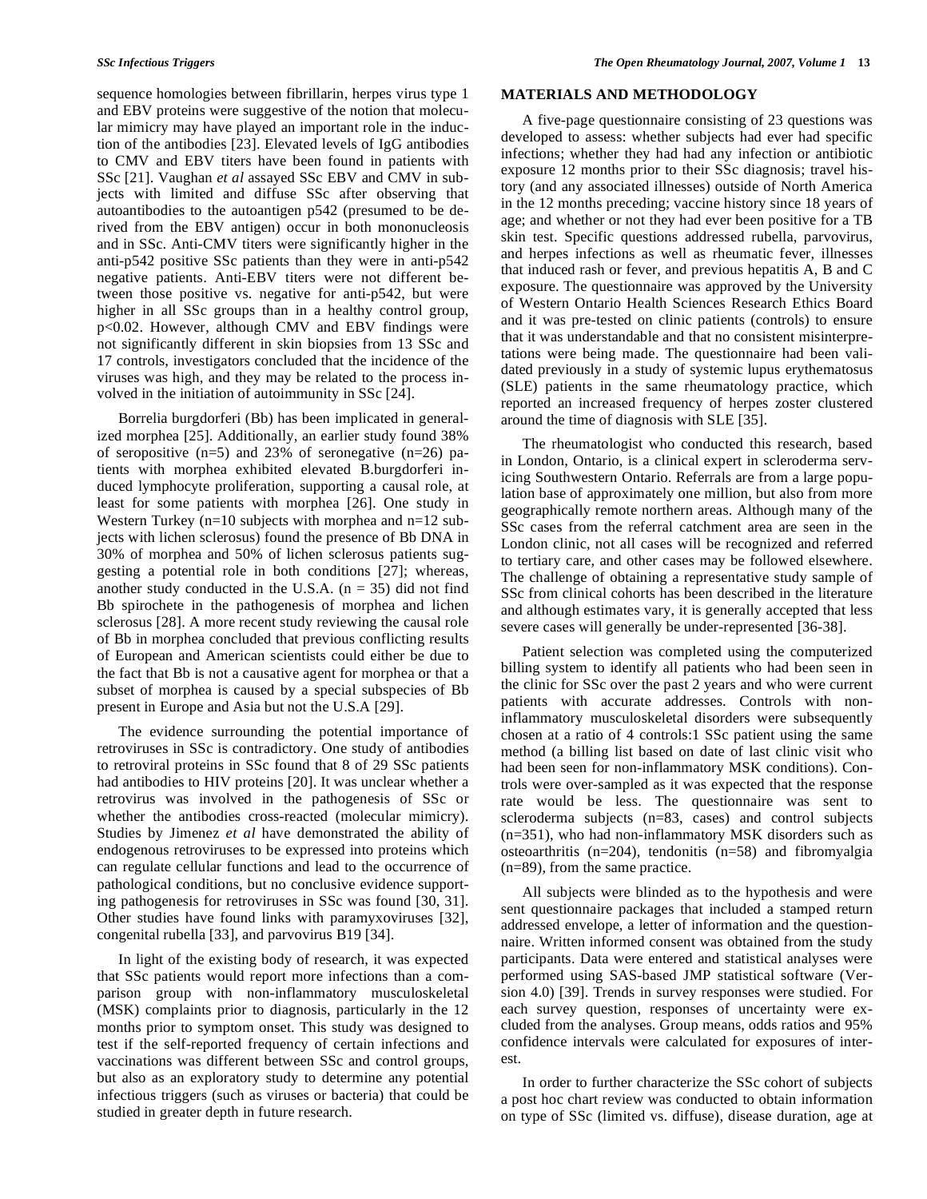sequence homologies between fibrillarin, herpes virus type 1 and EBV proteins were suggestive of the notion that molecular mimicry may have played an important role in the induction of the antibodies [23]. Elevated levels of IgG antibodies to CMV and EBV titers have been found in patients with SSc [21]. Vaughan *et al* assayed SSc EBV and CMV in subjects with limited and diffuse SSc after observing that autoantibodies to the autoantigen p542 (presumed to be derived from the EBV antigen) occur in both mononucleosis and in SSc. Anti-CMV titers were significantly higher in the anti-p542 positive SSc patients than they were in anti-p542 negative patients. Anti-EBV titers were not different between those positive vs. negative for anti-p542, but were higher in all SSc groups than in a healthy control group, p<0.02. However, although CMV and EBV findings were not significantly different in skin biopsies from 13 SSc and 17 controls, investigators concluded that the incidence of the viruses was high, and they may be related to the process involved in the initiation of autoimmunity in SSc [24].

 Borrelia burgdorferi (Bb) has been implicated in generalized morphea [25]. Additionally, an earlier study found 38% of seropositive  $(n=5)$  and 23% of seronegative  $(n=26)$  patients with morphea exhibited elevated B.burgdorferi induced lymphocyte proliferation, supporting a causal role, at least for some patients with morphea [26]. One study in Western Turkey ( $n=10$  subjects with morphea and  $n=12$  subjects with lichen sclerosus) found the presence of Bb DNA in 30% of morphea and 50% of lichen sclerosus patients suggesting a potential role in both conditions [27]; whereas, another study conducted in the U.S.A.  $(n = 35)$  did not find Bb spirochete in the pathogenesis of morphea and lichen sclerosus [28]. A more recent study reviewing the causal role of Bb in morphea concluded that previous conflicting results of European and American scientists could either be due to the fact that Bb is not a causative agent for morphea or that a subset of morphea is caused by a special subspecies of Bb present in Europe and Asia but not the U.S.A [29].

 The evidence surrounding the potential importance of retroviruses in SSc is contradictory. One study of antibodies to retroviral proteins in SSc found that 8 of 29 SSc patients had antibodies to HIV proteins [20]. It was unclear whether a retrovirus was involved in the pathogenesis of SSc or whether the antibodies cross-reacted (molecular mimicry). Studies by Jimenez *et al* have demonstrated the ability of endogenous retroviruses to be expressed into proteins which can regulate cellular functions and lead to the occurrence of pathological conditions, but no conclusive evidence supporting pathogenesis for retroviruses in SSc was found [30, 31]. Other studies have found links with paramyxoviruses [32], congenital rubella [33], and parvovirus B19 [34].

 In light of the existing body of research, it was expected that SSc patients would report more infections than a comparison group with non-inflammatory musculoskeletal (MSK) complaints prior to diagnosis, particularly in the 12 months prior to symptom onset. This study was designed to test if the self-reported frequency of certain infections and vaccinations was different between SSc and control groups, but also as an exploratory study to determine any potential infectious triggers (such as viruses or bacteria) that could be studied in greater depth in future research.

## **MATERIALS AND METHODOLOGY**

 A five-page questionnaire consisting of 23 questions was developed to assess: whether subjects had ever had specific infections; whether they had had any infection or antibiotic exposure 12 months prior to their SSc diagnosis; travel history (and any associated illnesses) outside of North America in the 12 months preceding; vaccine history since 18 years of age; and whether or not they had ever been positive for a TB skin test. Specific questions addressed rubella, parvovirus, and herpes infections as well as rheumatic fever, illnesses that induced rash or fever, and previous hepatitis A, B and C exposure. The questionnaire was approved by the University of Western Ontario Health Sciences Research Ethics Board and it was pre-tested on clinic patients (controls) to ensure that it was understandable and that no consistent misinterpretations were being made. The questionnaire had been validated previously in a study of systemic lupus erythematosus (SLE) patients in the same rheumatology practice, which reported an increased frequency of herpes zoster clustered around the time of diagnosis with SLE [35].

 The rheumatologist who conducted this research, based in London, Ontario, is a clinical expert in scleroderma servicing Southwestern Ontario. Referrals are from a large population base of approximately one million, but also from more geographically remote northern areas. Although many of the SSc cases from the referral catchment area are seen in the London clinic, not all cases will be recognized and referred to tertiary care, and other cases may be followed elsewhere. The challenge of obtaining a representative study sample of SSc from clinical cohorts has been described in the literature and although estimates vary, it is generally accepted that less severe cases will generally be under-represented [36-38].

 Patient selection was completed using the computerized billing system to identify all patients who had been seen in the clinic for SSc over the past 2 years and who were current patients with accurate addresses. Controls with noninflammatory musculoskeletal disorders were subsequently chosen at a ratio of 4 controls:1 SSc patient using the same method (a billing list based on date of last clinic visit who had been seen for non-inflammatory MSK conditions). Controls were over-sampled as it was expected that the response rate would be less. The questionnaire was sent to scleroderma subjects (n=83, cases) and control subjects (n=351), who had non-inflammatory MSK disorders such as osteoarthritis (n=204), tendonitis (n=58) and fibromyalgia (n=89), from the same practice.

 All subjects were blinded as to the hypothesis and were sent questionnaire packages that included a stamped return addressed envelope, a letter of information and the questionnaire. Written informed consent was obtained from the study participants. Data were entered and statistical analyses were performed using SAS-based JMP statistical software (Version 4.0) [39]. Trends in survey responses were studied. For each survey question, responses of uncertainty were excluded from the analyses. Group means, odds ratios and 95% confidence intervals were calculated for exposures of interest.

 In order to further characterize the SSc cohort of subjects a post hoc chart review was conducted to obtain information on type of SSc (limited vs. diffuse), disease duration, age at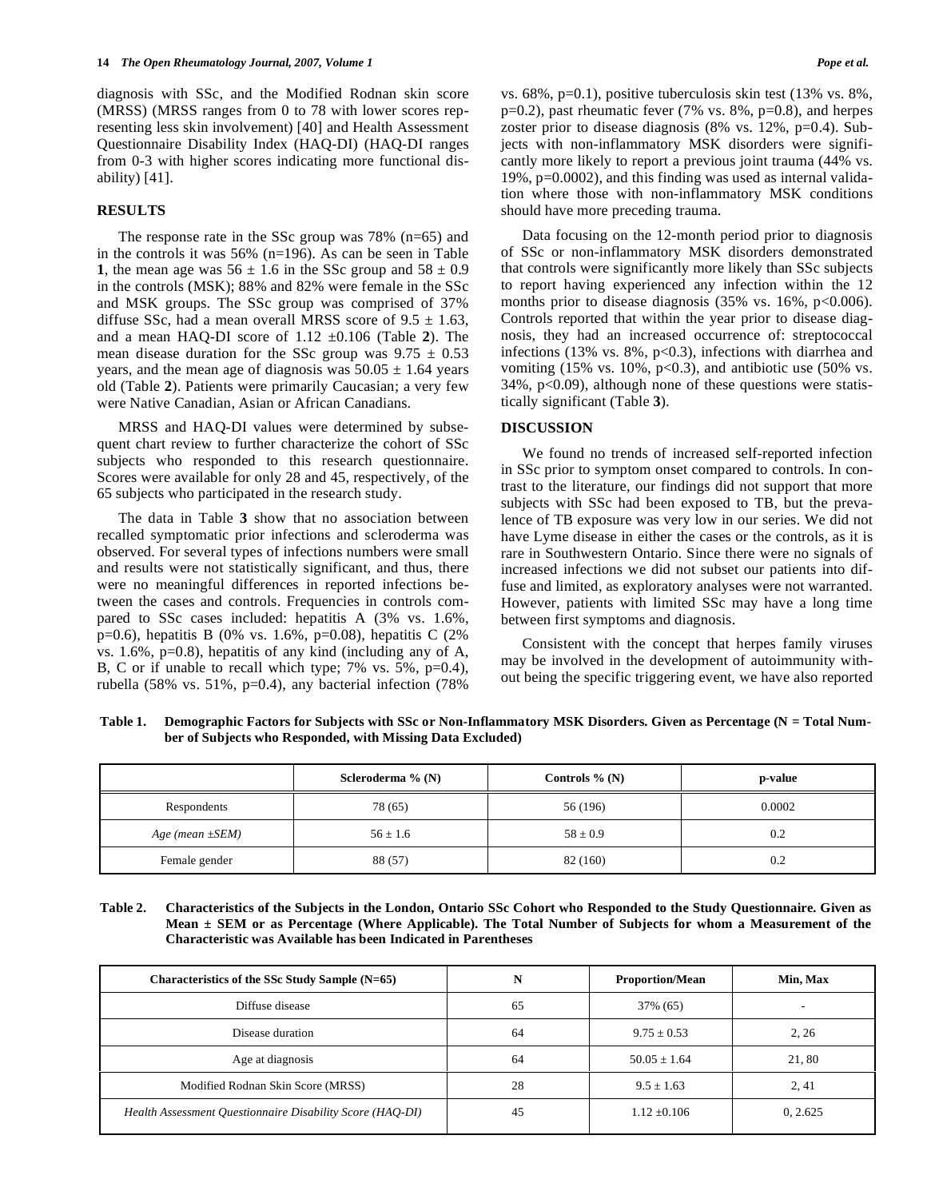diagnosis with SSc, and the Modified Rodnan skin score (MRSS) (MRSS ranges from 0 to 78 with lower scores representing less skin involvement) [40] and Health Assessment Questionnaire Disability Index (HAQ-DI) (HAQ-DI ranges from 0-3 with higher scores indicating more functional disability) [41].

#### **RESULTS**

 The response rate in the SSc group was 78% (n=65) and in the controls it was 56% (n=196). As can be seen in Table **1**, the mean age was  $56 \pm 1.6$  in the SSc group and  $58 \pm 0.9$ in the controls (MSK); 88% and 82% were female in the SSc and MSK groups. The SSc group was comprised of 37% diffuse SSc, had a mean overall MRSS score of  $9.5 \pm 1.63$ , and a mean HAQ-DI score of 1.12 ±0.106 (Table **2**). The mean disease duration for the SSc group was  $9.75 \pm 0.53$ years, and the mean age of diagnosis was  $50.05 \pm 1.64$  years old (Table **2**). Patients were primarily Caucasian; a very few were Native Canadian, Asian or African Canadians.

 MRSS and HAQ-DI values were determined by subsequent chart review to further characterize the cohort of SSc subjects who responded to this research questionnaire. Scores were available for only 28 and 45, respectively, of the 65 subjects who participated in the research study.

 The data in Table **3** show that no association between recalled symptomatic prior infections and scleroderma was observed. For several types of infections numbers were small and results were not statistically significant, and thus, there were no meaningful differences in reported infections between the cases and controls. Frequencies in controls compared to SSc cases included: hepatitis A (3% vs. 1.6%, p=0.6), hepatitis B (0% vs. 1.6%, p=0.08), hepatitis C (2%) vs.  $1.6\%$ ,  $p=0.8$ ), hepatitis of any kind (including any of A, B, C or if unable to recall which type; 7% vs. 5%, p=0.4), rubella (58% vs. 51%, p=0.4), any bacterial infection (78% vs. 68%, p=0.1), positive tuberculosis skin test (13% vs. 8%,  $p=0.2$ ), past rheumatic fever (7% vs. 8%,  $p=0.8$ ), and herpes zoster prior to disease diagnosis (8% vs. 12%, p=0.4). Subjects with non-inflammatory MSK disorders were significantly more likely to report a previous joint trauma (44% vs. 19%, p=0.0002), and this finding was used as internal validation where those with non-inflammatory MSK conditions should have more preceding trauma.

 Data focusing on the 12-month period prior to diagnosis of SSc or non-inflammatory MSK disorders demonstrated that controls were significantly more likely than SSc subjects to report having experienced any infection within the 12 months prior to disease diagnosis  $(35\% \text{ vs. } 16\%, \text{ p} < 0.006)$ . Controls reported that within the year prior to disease diagnosis, they had an increased occurrence of: streptococcal infections (13% vs.  $8\%$ ,  $p<0.3$ ), infections with diarrhea and vomiting  $(15\% \text{ vs. } 10\%, \text{ p<0.3})$ , and antibiotic use  $(50\% \text{ vs. } 10\% \text{ vs. } 10\% \text{ vs. } 10\% \text{ vs. } 10\% \text{ vs. } 10\% \text{ vs. } 10\% \text{ vs. } 10\% \text{ vs. } 10\% \text{ vs. } 10\% \text{ vs. } 10\% \text{ vs. } 10\% \text{ vs. } 10\% \text{ vs. } 10\% \text{ vs. } 10\% \text{$  $34\%$ ,  $p<0.09$ ), although none of these questions were statistically significant (Table **3**).

### **DISCUSSION**

 We found no trends of increased self-reported infection in SSc prior to symptom onset compared to controls. In contrast to the literature, our findings did not support that more subjects with SSc had been exposed to TB, but the prevalence of TB exposure was very low in our series. We did not have Lyme disease in either the cases or the controls, as it is rare in Southwestern Ontario. Since there were no signals of increased infections we did not subset our patients into diffuse and limited, as exploratory analyses were not warranted. However, patients with limited SSc may have a long time between first symptoms and diagnosis.

 Consistent with the concept that herpes family viruses may be involved in the development of autoimmunity without being the specific triggering event, we have also reported

Table 1. Demographic Factors for Subjects with SSc or Non-Inflammatory MSK Disorders. Given as Percentage (N = Total Num**ber of Subjects who Responded, with Missing Data Excluded)** 

|                      | Scleroderma $\%$ (N) | Controls $\%$ (N) | p-value |
|----------------------|----------------------|-------------------|---------|
| Respondents          | 78 (65)              | 56 (196)          | 0.0002  |
| Age (mean $\pm$ SEM) | $56 \pm 1.6$         | $58 \pm 0.9$      | 0.2     |
| Female gender        | 88 (57)              | 82 (160)          | 0.2     |

**Table 2. Characteristics of the Subjects in the London, Ontario SSc Cohort who Responded to the Study Questionnaire. Given as Mean ± SEM or as Percentage (Where Applicable). The Total Number of Subjects for whom a Measurement of the Characteristic was Available has been Indicated in Parentheses** 

| Characteristics of the SSc Study Sample (N=65)            | N  | <b>Proportion/Mean</b> | Min, Max |  |  |  |
|-----------------------------------------------------------|----|------------------------|----------|--|--|--|
| Diffuse disease                                           | 65 | 37% (65)               | -        |  |  |  |
| Disease duration                                          | 64 | $9.75 + 0.53$          | 2, 26    |  |  |  |
| Age at diagnosis                                          | 64 | $50.05 \pm 1.64$       | 21,80    |  |  |  |
| Modified Rodnan Skin Score (MRSS)                         | 28 | $9.5 + 1.63$           | 2, 41    |  |  |  |
| Health Assessment Questionnaire Disability Score (HAQ-DI) | 45 | $1.12 \pm 0.106$       | 0, 2.625 |  |  |  |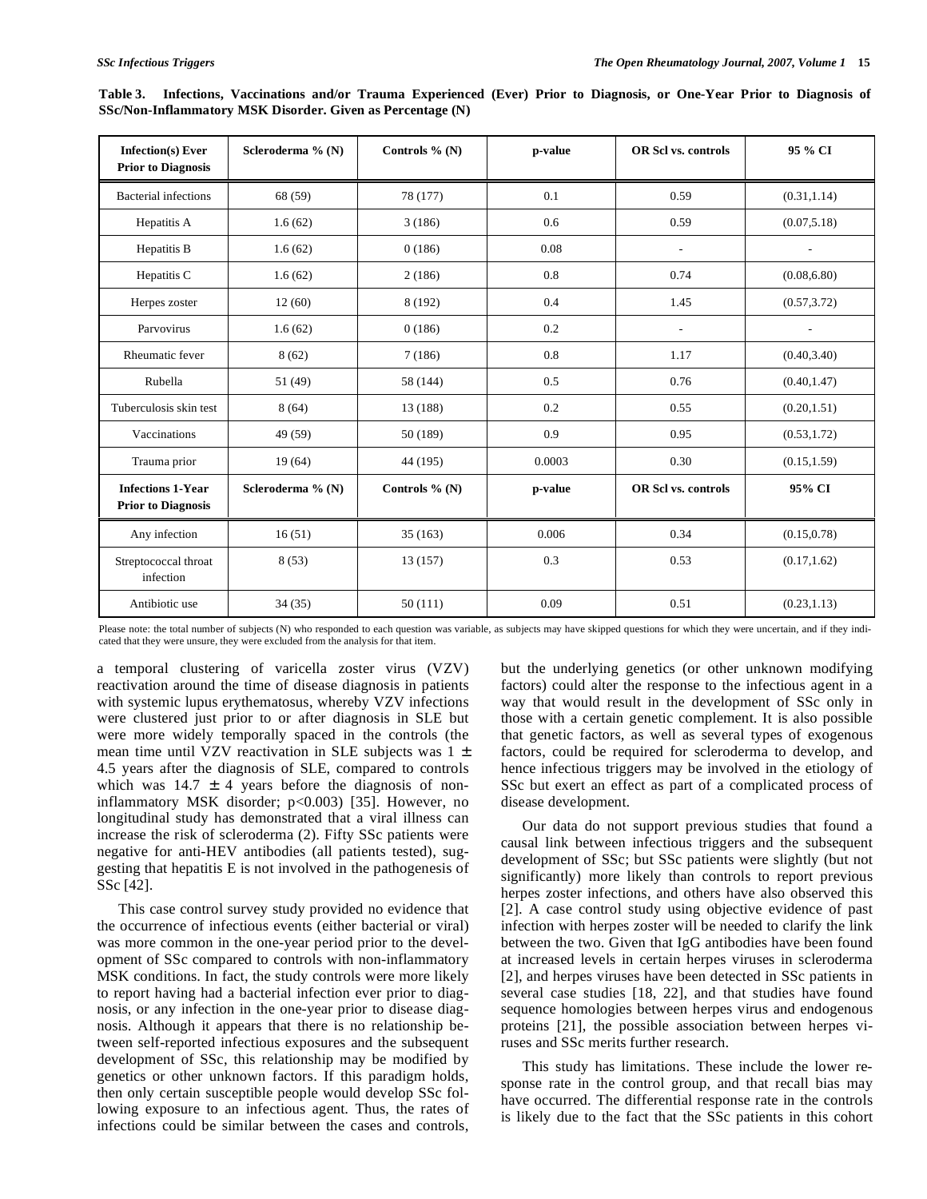| <b>Infection(s)</b> Ever<br><b>Prior to Diagnosis</b> | Scleroderma % (N) | Controls $\%$ (N) | p-value | <b>OR Scl vs. controls</b> | 95 % CI                  |  |  |
|-------------------------------------------------------|-------------------|-------------------|---------|----------------------------|--------------------------|--|--|
| <b>Bacterial infections</b>                           | 68 (59)           | 78 (177)          | 0.1     | 0.59                       | (0.31, 1.14)             |  |  |
| Hepatitis A                                           | 1.6(62)           | 3(186)            | 0.6     | 0.59                       | (0.07, 5.18)             |  |  |
| Hepatitis B                                           | 1.6(62)           | 0(186)            | 0.08    | ٠                          | $\overline{\phantom{a}}$ |  |  |
| Hepatitis C                                           | 1.6(62)           | 2(186)            | 0.8     | 0.74                       | (0.08, 6.80)             |  |  |
| Herpes zoster                                         | 12(60)            | 8 (192)           | 0.4     | 1.45                       | (0.57, 3.72)             |  |  |
| Parvovirus                                            | 1.6(62)           | 0(186)            | 0.2     | L,                         | $\overline{\phantom{a}}$ |  |  |
| Rheumatic fever                                       | 8(62)             | 7(186)            | 0.8     | 1.17                       | (0.40, 3.40)             |  |  |
| Rubella                                               | 51 (49)           | 58 (144)          | 0.5     | 0.76                       | (0.40, 1.47)             |  |  |
| Tuberculosis skin test                                | 8(64)             | 13 (188)          | 0.2     | 0.55                       | (0.20, 1.51)             |  |  |
| Vaccinations                                          | 49 (59)           | 50 (189)          | 0.9     | 0.95                       | (0.53, 1.72)             |  |  |
| Trauma prior                                          | 19(64)            | 44 (195)          | 0.0003  | 0.30                       | (0.15, 1.59)             |  |  |
| <b>Infections 1-Year</b><br><b>Prior to Diagnosis</b> | Scleroderma % (N) | Controls $\%$ (N) | p-value | <b>OR Scl vs. controls</b> | 95% CI                   |  |  |
| Any infection                                         | 16(51)            | 35(163)           | 0.006   | 0.34                       | (0.15, 0.78)             |  |  |
| Streptococcal throat<br>infection                     | 8(53)             | 13 (157)          | 0.3     | 0.53                       | (0.17, 1.62)             |  |  |
| Antibiotic use                                        | 34(35)            | 50(111)           | 0.09    | 0.51                       | (0.23, 1.13)             |  |  |

|                                                            |  | Table 3. Infections, Vaccinations and/or Trauma Experienced (Ever) Prior to Diagnosis, or One-Year Prior to Diagnosis of |  |  |  |  |  |  |  |  |  |  |  |  |  |
|------------------------------------------------------------|--|--------------------------------------------------------------------------------------------------------------------------|--|--|--|--|--|--|--|--|--|--|--|--|--|
| SSc/Non-Inflammatory MSK Disorder. Given as Percentage (N) |  |                                                                                                                          |  |  |  |  |  |  |  |  |  |  |  |  |  |

Please note: the total number of subjects (N) who responded to each question was variable, as subjects may have skipped questions for which they were uncertain, and if they indicated that they were unsure, they were excluded from the analysis for that item.

a temporal clustering of varicella zoster virus (VZV) reactivation around the time of disease diagnosis in patients with systemic lupus erythematosus, whereby VZV infections were clustered just prior to or after diagnosis in SLE but were more widely temporally spaced in the controls (the mean time until VZV reactivation in SLE subjects was 1 ± 4.5 years after the diagnosis of SLE, compared to controls which was  $14.7 \pm 4$  years before the diagnosis of noninflammatory MSK disorder; p<0.003) [35]. However, no longitudinal study has demonstrated that a viral illness can increase the risk of scleroderma (2). Fifty SSc patients were negative for anti-HEV antibodies (all patients tested), suggesting that hepatitis E is not involved in the pathogenesis of SSc [42].

 This case control survey study provided no evidence that the occurrence of infectious events (either bacterial or viral) was more common in the one-year period prior to the development of SSc compared to controls with non-inflammatory MSK conditions. In fact, the study controls were more likely to report having had a bacterial infection ever prior to diagnosis, or any infection in the one-year prior to disease diagnosis. Although it appears that there is no relationship between self-reported infectious exposures and the subsequent development of SSc, this relationship may be modified by genetics or other unknown factors. If this paradigm holds, then only certain susceptible people would develop SSc following exposure to an infectious agent. Thus, the rates of infections could be similar between the cases and controls,

but the underlying genetics (or other unknown modifying factors) could alter the response to the infectious agent in a way that would result in the development of SSc only in those with a certain genetic complement. It is also possible that genetic factors, as well as several types of exogenous factors, could be required for scleroderma to develop, and hence infectious triggers may be involved in the etiology of SSc but exert an effect as part of a complicated process of disease development.

 Our data do not support previous studies that found a causal link between infectious triggers and the subsequent development of SSc; but SSc patients were slightly (but not significantly) more likely than controls to report previous herpes zoster infections, and others have also observed this [2]. A case control study using objective evidence of past infection with herpes zoster will be needed to clarify the link between the two. Given that IgG antibodies have been found at increased levels in certain herpes viruses in scleroderma [2], and herpes viruses have been detected in SSc patients in several case studies [18, 22], and that studies have found sequence homologies between herpes virus and endogenous proteins [21], the possible association between herpes viruses and SSc merits further research.

 This study has limitations. These include the lower response rate in the control group, and that recall bias may have occurred. The differential response rate in the controls is likely due to the fact that the SSc patients in this cohort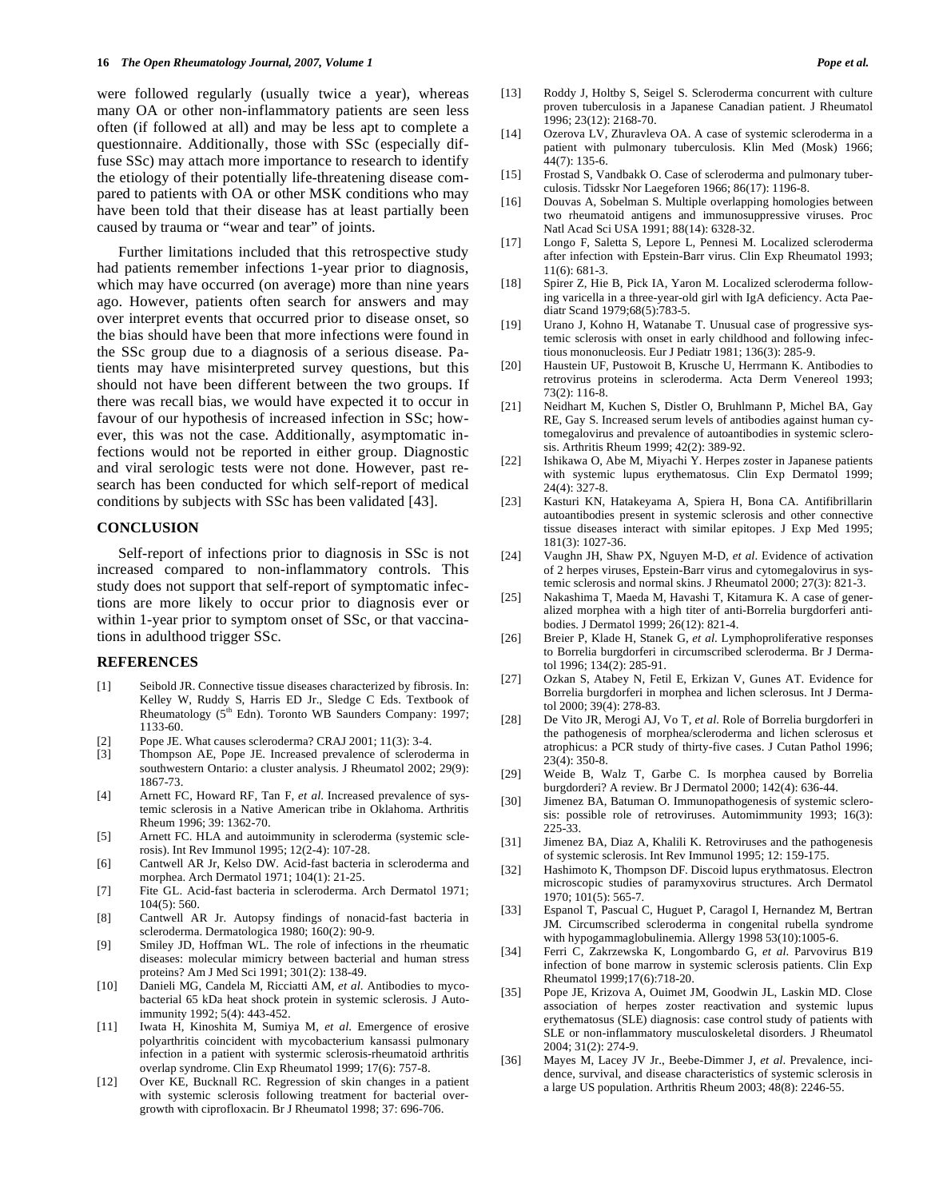were followed regularly (usually twice a year), whereas many OA or other non-inflammatory patients are seen less often (if followed at all) and may be less apt to complete a questionnaire. Additionally, those with SSc (especially diffuse SSc) may attach more importance to research to identify the etiology of their potentially life-threatening disease compared to patients with OA or other MSK conditions who may have been told that their disease has at least partially been caused by trauma or "wear and tear" of joints.

 Further limitations included that this retrospective study had patients remember infections 1-year prior to diagnosis, which may have occurred (on average) more than nine years ago. However, patients often search for answers and may over interpret events that occurred prior to disease onset, so the bias should have been that more infections were found in the SSc group due to a diagnosis of a serious disease. Patients may have misinterpreted survey questions, but this should not have been different between the two groups. If there was recall bias, we would have expected it to occur in favour of our hypothesis of increased infection in SSc; however, this was not the case. Additionally, asymptomatic infections would not be reported in either group. Diagnostic and viral serologic tests were not done. However, past research has been conducted for which self-report of medical conditions by subjects with SSc has been validated [43].

#### **CONCLUSION**

 Self-report of infections prior to diagnosis in SSc is not increased compared to non-inflammatory controls. This study does not support that self-report of symptomatic infections are more likely to occur prior to diagnosis ever or within 1-year prior to symptom onset of SSc, or that vaccinations in adulthood trigger SSc.

#### **REFERENCES**

- [1] Seibold JR. Connective tissue diseases characterized by fibrosis. In: Kelley W, Ruddy S, Harris ED Jr., Sledge C Eds. Textbook of Rheumatology (5<sup>th</sup> Edn). Toronto WB Saunders Company: 1997; 1133-60.
- [2] Pope JE. What causes scleroderma? CRAJ 2001; 11(3): 3-4.
- [3] Thompson AE, Pope JE. Increased prevalence of scleroderma in southwestern Ontario: a cluster analysis. J Rheumatol 2002; 29(9): 1867-73.
- [4] Arnett FC, Howard RF, Tan F, *et al*. Increased prevalence of systemic sclerosis in a Native American tribe in Oklahoma. Arthritis Rheum 1996; 39: 1362-70.
- [5] Arnett FC. HLA and autoimmunity in scleroderma (systemic sclerosis). Int Rev Immunol 1995; 12(2-4): 107-28.
- [6] Cantwell AR Jr, Kelso DW. Acid-fast bacteria in scleroderma and morphea. Arch Dermatol 1971; 104(1): 21-25.
- [7] Fite GL. Acid-fast bacteria in scleroderma. Arch Dermatol 1971;  $104(5)$ : 560.
- [8] Cantwell AR Jr. Autopsy findings of nonacid-fast bacteria in scleroderma. Dermatologica 1980; 160(2): 90-9.
- [9] Smiley JD, Hoffman WL. The role of infections in the rheumatic diseases: molecular mimicry between bacterial and human stress proteins? Am J Med Sci 1991; 301(2): 138-49.
- [10] Danieli MG, Candela M, Ricciatti AM, *et al*. Antibodies to mycobacterial 65 kDa heat shock protein in systemic sclerosis. J Autoimmunity 1992; 5(4): 443-452.
- [11] Iwata H, Kinoshita M, Sumiya M, *et al*. Emergence of erosive polyarthritis coincident with mycobacterium kansassi pulmonary infection in a patient with systermic sclerosis-rheumatoid arthritis overlap syndrome. Clin Exp Rheumatol 1999; 17(6): 757-8.
- [12] Over KE, Bucknall RC. Regression of skin changes in a patient with systemic sclerosis following treatment for bacterial overgrowth with ciprofloxacin*.* Br J Rheumatol 1998; 37: 696-706.
- [13] Roddy J, Holtby S, Seigel S. Scleroderma concurrent with culture proven tuberculosis in a Japanese Canadian patient. J Rheumatol 1996; 23(12): 2168-70.
- [14] Ozerova LV, Zhuravleva OA. A case of systemic scleroderma in a patient with pulmonary tuberculosis. Klin Med (Mosk) 1966; 44(7): 135-6.
- [15] Frostad S, Vandbakk O. Case of scleroderma and pulmonary tuberculosis. Tidsskr Nor Laegeforen 1966; 86(17): 1196-8.
- [16] Douvas A, Sobelman S. Multiple overlapping homologies between two rheumatoid antigens and immunosuppressive viruses. Proc Natl Acad Sci USA 1991; 88(14): 6328-32.
- [17] Longo F, Saletta S, Lepore L, Pennesi M. Localized scleroderma after infection with Epstein-Barr virus. Clin Exp Rheumatol 1993; 11(6): 681-3.
- [18] Spirer Z, Hie B, Pick IA, Yaron M. Localized scleroderma following varicella in a three-year-old girl with IgA deficiency. Acta Paediatr Scand 1979;68(5):783-5.
- [19] Urano J, Kohno H, Watanabe T. Unusual case of progressive systemic sclerosis with onset in early childhood and following infectious mononucleosis. Eur J Pediatr 1981; 136(3): 285-9.
- [20] Haustein UF, Pustowoit B, Krusche U, Herrmann K. Antibodies to retrovirus proteins in scleroderma. Acta Derm Venereol 1993; 73(2): 116-8.
- [21] Neidhart M, Kuchen S, Distler O, Bruhlmann P, Michel BA, Gay RE, Gay S. Increased serum levels of antibodies against human cytomegalovirus and prevalence of autoantibodies in systemic sclerosis. Arthritis Rheum 1999; 42(2): 389-92.
- [22] Ishikawa O, Abe M, Miyachi Y. Herpes zoster in Japanese patients with systemic lupus erythematosus. Clin Exp Dermatol 1999; 24(4): 327-8.
- [23] Kasturi KN, Hatakeyama A, Spiera H, Bona CA. Antifibrillarin autoantibodies present in systemic sclerosis and other connective tissue diseases interact with similar epitopes. J Exp Med 1995; 181(3): 1027-36.
- [24] Vaughn JH, Shaw PX, Nguyen M-D, *et al*. Evidence of activation of 2 herpes viruses, Epstein-Barr virus and cytomegalovirus in systemic sclerosis and normal skins. J Rheumatol 2000; 27(3): 821-3.
- [25] Nakashima T, Maeda M, Havashi T, Kitamura K. A case of generalized morphea with a high titer of anti-Borrelia burgdorferi antibodies. J Dermatol 1999; 26(12): 821-4.
- [26] Breier P, Klade H, Stanek G, *et al*. Lymphoproliferative responses to Borrelia burgdorferi in circumscribed scleroderma. Br J Dermatol 1996; 134(2): 285-91.
- [27] Ozkan S, Atabey N, Fetil E, Erkizan V, Gunes AT. Evidence for Borrelia burgdorferi in morphea and lichen sclerosus. Int J Dermatol 2000; 39(4): 278-83.
- [28] De Vito JR, Merogi AJ, Vo T, *et al*. Role of Borrelia burgdorferi in the pathogenesis of morphea/scleroderma and lichen sclerosus et atrophicus: a PCR study of thirty-five cases. J Cutan Pathol 1996; 23(4): 350-8.
- [29] Weide B, Walz T, Garbe C. Is morphea caused by Borrelia burgdorderi? A review. Br J Dermatol 2000; 142(4): 636-44.
- [30] Jimenez BA, Batuman O. Immunopathogenesis of systemic sclerosis: possible role of retroviruses. Automimmunity 1993; 16(3): 225-33.
- [31] Jimenez BA, Diaz A, Khalili K. Retroviruses and the pathogenesis of systemic sclerosis. Int Rev Immunol 1995; 12: 159-175.
- [32] Hashimoto K, Thompson DF. Discoid lupus erythmatosus. Electron microscopic studies of paramyxovirus structures. Arch Dermatol 1970; 101(5): 565-7.
- [33] Espanol T, Pascual C, Huguet P, Caragol I, Hernandez M, Bertran JM. Circumscribed scleroderma in congenital rubella syndrome with hypogammaglobulinemia. Allergy 1998 53(10):1005-6.
- [34] Ferri C, Zakrzewska K, Longombardo G, *et al*. Parvovirus B19 infection of bone marrow in systemic sclerosis patients. Clin Exp Rheumatol 1999;17(6):718-20.
- [35] Pope JE, Krizova A, Ouimet JM, Goodwin JL, Laskin MD. Close association of herpes zoster reactivation and systemic lupus erythematosus (SLE) diagnosis: case control study of patients with SLE or non-inflammatory musculoskeletal disorders. J Rheumatol 2004; 31(2): 274-9.
- [36] Mayes M, Lacey JV Jr., Beebe-Dimmer J, *et al*. Prevalence, incidence, survival, and disease characteristics of systemic sclerosis in a large US population. Arthritis Rheum 2003; 48(8): 2246-55.